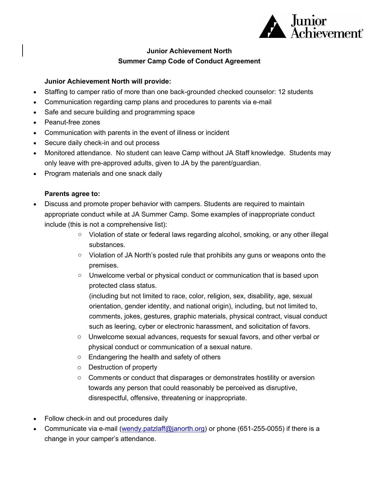

# **Junior Achievement North Summer Camp Code of Conduct Agreement**

## **Junior Achievement North will provide:**

- Staffing to camper ratio of more than one back-grounded checked counselor: 12 students
- Communication regarding camp plans and procedures to parents via e-mail
- Safe and secure building and programming space
- Peanut-free zones
- Communication with parents in the event of illness or incident
- Secure daily check-in and out process
- Monitored attendance. No student can leave Camp without JA Staff knowledge. Students may only leave with pre-approved adults, given to JA by the parent/guardian.
- Program materials and one snack daily

## **Parents agree to:**

- Discuss and promote proper behavior with campers. Students are required to maintain appropriate conduct while at JA Summer Camp. Some examples of inappropriate conduct include (this is not a comprehensive list):
	- o Violation of state or federal laws regarding alcohol, smoking, or any other illegal substances.
	- Violation of JA North's posted rule that prohibits any guns or weapons onto the premises.
	- $\circ$  Unwelcome verbal or physical conduct or communication that is based upon protected class status.

(including but not limited to race, color, religion, sex, disability, age, sexual orientation, gender identity, and national origin), including, but not limited to, comments, jokes, gestures, graphic materials, physical contract, visual conduct such as leering, cyber or electronic harassment, and solicitation of favors.

- o Unwelcome sexual advances, requests for sexual favors, and other verbal or physical conduct or communication of a sexual nature.
- o Endangering the health and safety of others
- o Destruction of property
- o Comments or conduct that disparages or demonstrates hostility or aversion towards any person that could reasonably be perceived as disruptive, disrespectful, offensive, threatening or inappropriate.
- Follow check-in and out procedures daily
- Communicate via e-mail (wendy.patzlaff@janorth.org) or phone (651-255-0055) if there is a change in your camper's attendance.